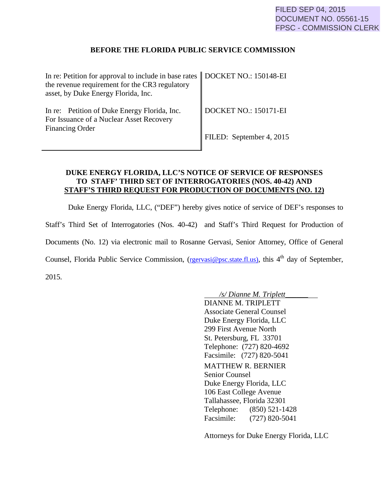## **BEFORE THE FLORIDA PUBLIC SERVICE COMMISSION**

| In re: Petition for approval to include in base rates   DOCKET NO.: 150148-EI            |                                   |
|------------------------------------------------------------------------------------------|-----------------------------------|
| the revenue requirement for the CR3 regulatory<br>asset, by Duke Energy Florida, Inc.    |                                   |
| In re: Petition of Duke Energy Florida, Inc.<br>For Issuance of a Nuclear Asset Recovery | $\parallel$ DOCKET NO.: 150171-EI |
| <b>Financing Order</b>                                                                   | FILED: September 4, 2015          |

## **DUKE ENERGY FLORIDA, LLC'S NOTICE OF SERVICE OF RESPONSES TO STAFF' THIRD SET OF INTERROGATORIES (NOS. 40-42) AND STAFF'S THIRD REQUEST FOR PRODUCTION OF DOCUMENTS (NO. 12)**

Duke Energy Florida, LLC, ("DEF") hereby gives notice of service of DEF's responses to Staff's Third Set of Interrogatories (Nos. 40-42) and Staff's Third Request for Production of Documents (No. 12) via electronic mail to Rosanne Gervasi, Senior Attorney, Office of General Counsel, Florida Public Service Commission, (rgervasi@psc.state.fl.us), this 4<sup>th</sup> day of September, 2015.

> */s/ Dianne M. Triplett\_\_\_\_\_\_* DIANNE M. TRIPLETT Associate General Counsel Duke Energy Florida, LLC 299 First Avenue North St. Petersburg, FL 33701 Telephone: (727) 820-4692 Facsimile: (727) 820-5041 MATTHEW R. BERNIER Senior Counsel Duke Energy Florida, LLC 106 East College Avenue Tallahassee, Florida 32301 Telephone: (850) 521-1428 Facsimile: (727) 820-5041

Attorneys for Duke Energy Florida, LLC